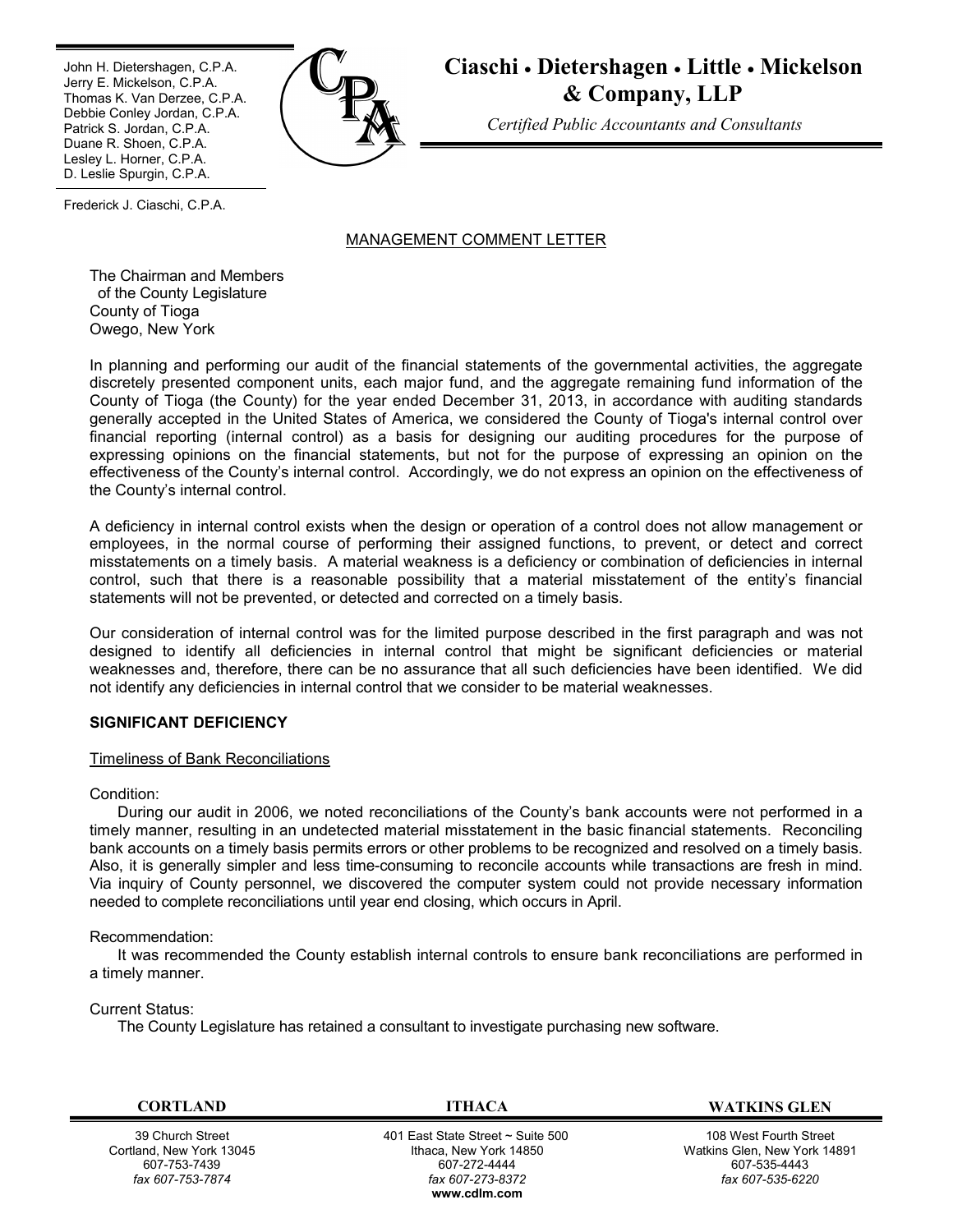Ī John H. Dietershagen, C.P.A. Jerry E. Mickelson, C.P.A. Thomas K. Van Derzee, C.P.A. Debbie Conley Jordan, C.P.A. Patrick S. Jordan, C.P.A. Duane R. Shoen, C.P.A. Lesley L. Horner, C.P.A. D. Leslie Spurgin, C.P.A.



**Ciaschi Dietershagen Little Mickelson & Company, LLP**

*Certified Public Accountants and Consultants*

Frederick J. Ciaschi, C.P.A.

# MANAGEMENT COMMENT LETTER

The Chairman and Members of the County Legislature County of Tioga Owego, New York

In planning and performing our audit of the financial statements of the governmental activities, the aggregate discretely presented component units, each major fund, and the aggregate remaining fund information of the County of Tioga (the County) for the year ended December 31, 2013, in accordance with auditing standards generally accepted in the United States of America, we considered the County of Tioga's internal control over financial reporting (internal control) as a basis for designing our auditing procedures for the purpose of expressing opinions on the financial statements, but not for the purpose of expressing an opinion on the effectiveness of the County's internal control. Accordingly, we do not express an opinion on the effectiveness of the County's internal control.

A deficiency in internal control exists when the design or operation of a control does not allow management or employees, in the normal course of performing their assigned functions, to prevent, or detect and correct misstatements on a timely basis. A material weakness is a deficiency or combination of deficiencies in internal control, such that there is a reasonable possibility that a material misstatement of the entity's financial statements will not be prevented, or detected and corrected on a timely basis.

Our consideration of internal control was for the limited purpose described in the first paragraph and was not designed to identify all deficiencies in internal control that might be significant deficiencies or material weaknesses and, therefore, there can be no assurance that all such deficiencies have been identified. We did not identify any deficiencies in internal control that we consider to be material weaknesses.

### **SIGNIFICANT DEFICIENCY**

### Timeliness of Bank Reconciliations

Condition:

During our audit in 2006, we noted reconciliations of the County's bank accounts were not performed in a timely manner, resulting in an undetected material misstatement in the basic financial statements. Reconciling bank accounts on a timely basis permits errors or other problems to be recognized and resolved on a timely basis. Also, it is generally simpler and less time-consuming to reconcile accounts while transactions are fresh in mind. Via inquiry of County personnel, we discovered the computer system could not provide necessary information needed to complete reconciliations until year end closing, which occurs in April.

### Recommendation:

It was recommended the County establish internal controls to ensure bank reconciliations are performed in a timely manner.

### Current Status:

The County Legislature has retained a consultant to investigate purchasing new software.

39 Church Street Cortland, New York 13045 607-753-7439 *fax 607-753-7874*

 401 East State Street ~ Suite 500 Ithaca, New York 14850 607-272-4444 *fax 607-273-8372* **www.cdlm.com**

**CORTLAND ITHACA WATKINS GLEN**

108 West Fourth Street Watkins Glen, New York 14891 607-535-4443 *fax 607-535-6220*